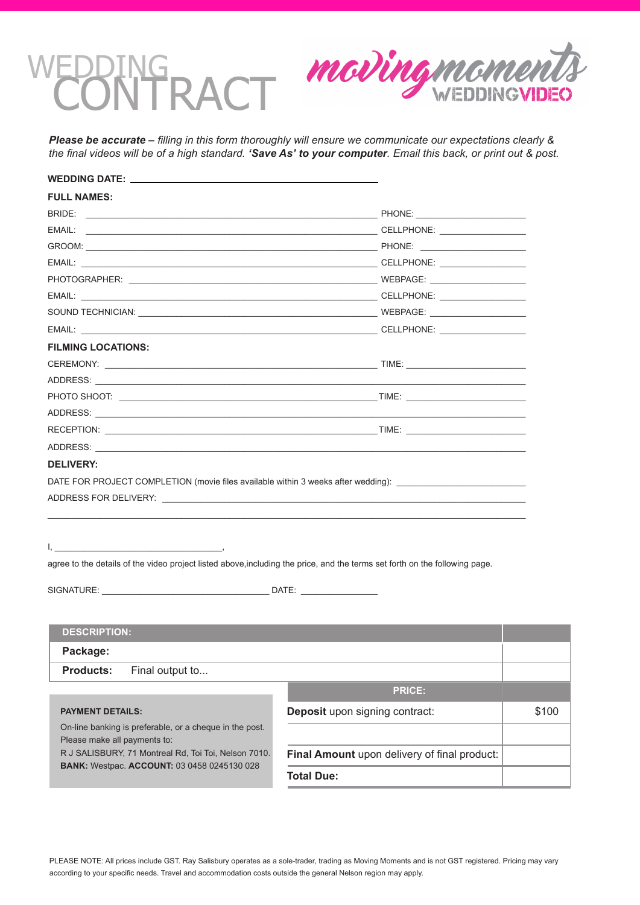# DING<br>JNTRACT



*Please be accurate – filling in this form thoroughly will ensure we communicate our expectations clearly & the final videos will be of a high standard. 'Save As' to your computer. Email this back, or print out & post.*

| <b>FULL NAMES:</b>                                                                                                                                                                                                                                                                                                                                                      |                                                                                                                                                                                                                                |       |
|-------------------------------------------------------------------------------------------------------------------------------------------------------------------------------------------------------------------------------------------------------------------------------------------------------------------------------------------------------------------------|--------------------------------------------------------------------------------------------------------------------------------------------------------------------------------------------------------------------------------|-------|
|                                                                                                                                                                                                                                                                                                                                                                         |                                                                                                                                                                                                                                |       |
|                                                                                                                                                                                                                                                                                                                                                                         | EMAIL: CHARGE CONTROLLER CHARGE CONTROLLER CONTROLLER CONTROLLER CONTROLLER CONTROLLER CONTROLLER CONTROLLER CONTROLLER CONTROLLER CONTROLLER CONTROLLER CONTROLLER CONTROLLER CONTROLLER CONTROLLER CONTROLLER CONTROLLER CON |       |
|                                                                                                                                                                                                                                                                                                                                                                         |                                                                                                                                                                                                                                |       |
|                                                                                                                                                                                                                                                                                                                                                                         | EMAIL: CHARGE CONTROLLER CHARGE CONTROLLER CONTROLLER CONTROLLER CONTROLLER CONTROLLER CONTROLLER CONTROLLER CONTROLLER CONTROLLER CONTROLLER CONTROLLER CONTROLLER CONTROLLER CONTROLLER CONTROLLER CONTROLLER CONTROLLER CON |       |
|                                                                                                                                                                                                                                                                                                                                                                         |                                                                                                                                                                                                                                |       |
|                                                                                                                                                                                                                                                                                                                                                                         |                                                                                                                                                                                                                                |       |
|                                                                                                                                                                                                                                                                                                                                                                         |                                                                                                                                                                                                                                |       |
|                                                                                                                                                                                                                                                                                                                                                                         |                                                                                                                                                                                                                                |       |
| <b>FILMING LOCATIONS:</b>                                                                                                                                                                                                                                                                                                                                               |                                                                                                                                                                                                                                |       |
|                                                                                                                                                                                                                                                                                                                                                                         |                                                                                                                                                                                                                                |       |
|                                                                                                                                                                                                                                                                                                                                                                         |                                                                                                                                                                                                                                |       |
|                                                                                                                                                                                                                                                                                                                                                                         |                                                                                                                                                                                                                                |       |
|                                                                                                                                                                                                                                                                                                                                                                         |                                                                                                                                                                                                                                |       |
|                                                                                                                                                                                                                                                                                                                                                                         | RECEPTION: TIME:                                                                                                                                                                                                               |       |
|                                                                                                                                                                                                                                                                                                                                                                         |                                                                                                                                                                                                                                |       |
| ADDRESS FOR DELIVERY: A CONTROL OF THE STATE OF THE STATE OF THE STATE OF THE STATE OF THE STATE OF THE STATE O                                                                                                                                                                                                                                                         | DATE FOR PROJECT COMPLETION (movie files available within 3 weeks after wedding): ____________________________                                                                                                                 |       |
| $\mathsf{I}_{\mathsf{S}}$ . The contract of the contract of the contract of the contract of the contract of the contract of the contract of the contract of the contract of the contract of the contract of the contract of the contract<br>agree to the details of the video project listed above, including the price, and the terms set forth on the following page. |                                                                                                                                                                                                                                |       |
| <b>DESCRIPTION:</b><br>Package:                                                                                                                                                                                                                                                                                                                                         |                                                                                                                                                                                                                                |       |
| <b>Products:</b><br>Final output to                                                                                                                                                                                                                                                                                                                                     |                                                                                                                                                                                                                                |       |
|                                                                                                                                                                                                                                                                                                                                                                         | <b>PRICE:</b>                                                                                                                                                                                                                  |       |
| <b>PAYMENT DETAILS:</b>                                                                                                                                                                                                                                                                                                                                                 | Deposit upon signing contract:                                                                                                                                                                                                 | \$100 |
| On-line banking is preferable, or a cheque in the post.                                                                                                                                                                                                                                                                                                                 |                                                                                                                                                                                                                                |       |
| Please make all payments to:                                                                                                                                                                                                                                                                                                                                            |                                                                                                                                                                                                                                |       |
| R J SALISBURY, 71 Montreal Rd, Toi Toi, Nelson 7010.<br>BANK: Westpac. ACCOUNT: 03 0458 0245130 028                                                                                                                                                                                                                                                                     | Final Amount upon delivery of final product:                                                                                                                                                                                   |       |
|                                                                                                                                                                                                                                                                                                                                                                         | <b>Total Due:</b>                                                                                                                                                                                                              |       |
|                                                                                                                                                                                                                                                                                                                                                                         |                                                                                                                                                                                                                                |       |